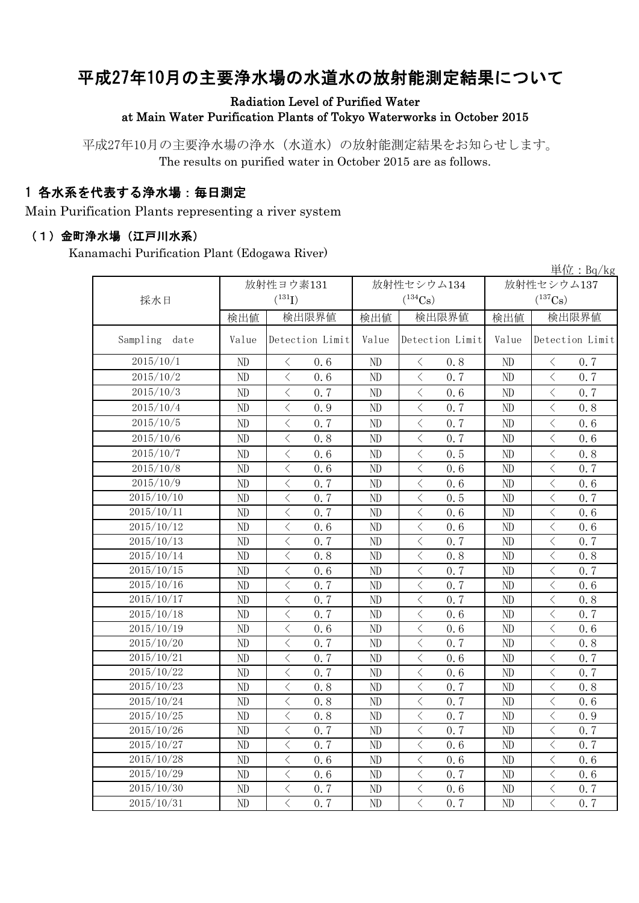# 平成27年10月の主要浄水場の水道水の放射能測定結果について

### Radiation Level of Purified Water at Main Water Purification Plants of Tokyo Waterworks in October 2015

平成27年10月の主要浄水場の浄水(水道水)の放射能測定結果をお知らせします。 The results on purified water in October 2015 are as follows.

## 1 各水系を代表する浄水場:毎日測定

Main Purification Plants representing a river system

#### (1)金町浄水場(江戸川水系)

Kanamachi Purification Plant (Edogawa River)

|                  |          |                                                 |          |                                                 |            | 単位: $Bq/kg$                                     |  |
|------------------|----------|-------------------------------------------------|----------|-------------------------------------------------|------------|-------------------------------------------------|--|
|                  |          | 放射性ヨウ素131                                       |          | 放射性セシウム134                                      | 放射性セシウム137 |                                                 |  |
| 採水日              |          | $(^{131}I)$                                     |          | $(^{134}Cs)$                                    |            | $(^{137}Cs)$                                    |  |
|                  | 検出値      | 検出限界値                                           | 検出値      | 検出限界値                                           | 検出値        | 検出限界値                                           |  |
| Sampling<br>date | Value    | Detection Limit                                 | Value    | Detection Limit                                 | Value      | Detection Limit                                 |  |
| 2015/10/1        | ND       | 0.6<br>$\langle$                                | ND       | 0.8<br>$\langle$                                | ND         | 0.7<br>$\lt$                                    |  |
| 2015/10/2        | ND       | $\langle$<br>0.6                                | ND       | $\langle$<br>0.7                                | ND         | $\overline{\left\langle \right\rangle }$<br>0.7 |  |
| 2015/10/3        | ND       | $\langle$<br>0.7                                | ND       | $\langle$<br>0.6                                | ND         | $\lt$<br>0.7                                    |  |
| 2015/10/4        | ND       | $\overline{\langle}$<br>0.9                     | ND       | $\langle$<br>0.7                                | ND         | $\overline{\left\langle \right\rangle }$<br>0.8 |  |
| 2015/10/5        | $\rm ND$ | $\langle$<br>0.7                                | ND       | $\langle$<br>0.7                                | ND         | $\overline{\left\langle \right\rangle }$<br>0.6 |  |
| 2015/10/6        | ND       | $\langle$<br>0.8                                | ND       | $\,$ $\,$ $\,$<br>0.7                           | ND         | $\langle$<br>0.6                                |  |
| 2015/10/7        | ND       | $\hspace{0.5cm}\big\langle$<br>0.6              | ND       | $\lt$<br>0.5                                    | ND         | $\langle$<br>0.8                                |  |
| 2015/10/8        | ND       | $\langle$<br>0.6                                | $\rm ND$ | $\lt$<br>0, 6                                   | ND         | $\lt$<br>0.7                                    |  |
| 2015/10/9        | ND       | $\hspace{0.5cm}\big\langle$<br>0.7              | ND       | $\lt$<br>0, 6                                   | ND         | $\lt$<br>0.6                                    |  |
| 2015/10/10       | ND       | $\overline{\left\langle \right\rangle }$<br>0.7 | ND       | $\lt$<br>0.5                                    | ND         | $\langle$<br>0.7                                |  |
| 2015/10/11       | ND       | $\langle$<br>0.7                                | ND       | $\,$ $\,$ $\,$<br>0.6                           | ND         | $\overline{\left\langle \right\rangle }$<br>0.6 |  |
| 2015/10/12       | ND       | $\overline{\left\langle \right\rangle }$<br>0.6 | ND       | $\,$ $\,$ $\,$<br>0.6                           | ND         | $\overline{\left\langle \right\rangle }$<br>0.6 |  |
| 2015/10/13       | ND       | $\overline{\left\langle \right\rangle }$<br>0.7 | ND       | $\overline{\left\langle \right\rangle }$<br>0.7 | ND         | $\lt$<br>0.7                                    |  |
| 2015/10/14       | ND       | $\overline{\left\langle \right\rangle }$<br>0.8 | ND       | $\langle$<br>0.8                                | ND         | $\overline{\left\langle \right\rangle }$<br>0.8 |  |
| 2015/10/15       | ND       | $\langle$<br>0.6                                | ND       | $\langle$<br>0.7                                | ND         | $\lt$<br>0.7                                    |  |
| 2015/10/16       | ND       | $\lt$<br>0.7                                    | ND       | $\,$ $\,$ $\,$<br>0.7                           | ND         | $\langle$<br>0.6                                |  |
| 2015/10/17       | ND       | $\langle$<br>0.7                                | ND       | $\langle$<br>0.7                                | ND         | $\lt$<br>0.8                                    |  |
| 2015/10/18       | ND       | $\langle$<br>0.7                                | ND       | $\lt$<br>0.6                                    | ND         | $\overline{\left\langle \right\rangle }$<br>0.7 |  |
| 2015/10/19       | ND       | $\langle$<br>0.6                                | ND       | $\langle$<br>0.6                                | ND         | $\lt$<br>0.6                                    |  |
| 2015/10/20       | ND       | $\langle$<br>0.7                                | ND       | $\langle$<br>0.7                                | ND         | $\overline{\left\langle \right\rangle }$<br>0.8 |  |
| 2015/10/21       | ND       | $\langle$<br>0.7                                | ND       | $\langle$<br>0.6                                | ND         | $\lt$<br>0.7                                    |  |
| 2015/10/22       | ND       | $\overline{\left\langle \right\rangle }$<br>0.7 | ND       | $\langle$<br>0.6                                | ND         | $\overline{\left\langle \right\rangle }$<br>0.7 |  |
| 2015/10/23       | ND       | $\overline{\left\langle \right\rangle }$<br>0.8 | ND       | $\langle$<br>0.7                                | ND         | $\overline{\left\langle \right\rangle }$<br>0.8 |  |
| 2015/10/24       | ND       | $\langle$<br>0.8                                | ND       | $\langle$<br>0.7                                | ND         | $\lt$<br>0.6                                    |  |
| 2015/10/25       | ND       | $\lt$<br>0.8                                    | ND       | $\lt$<br>0.7                                    | ND         | $\langle$<br>0.9                                |  |
| 2015/10/26       | ND       | $\lt$<br>0.7                                    | ND       | $\langle$<br>0.7                                | ND         | $\lt$<br>0.7                                    |  |
| 2015/10/27       | ND       | $\lt$<br>0.7                                    | ND       | $\lt$<br>0.6                                    | ND         | $\langle$<br>0.7                                |  |
| 2015/10/28       | ND       | $\langle$<br>0.6                                | ND       | $\lt$<br>0.6                                    | ND         | $\overline{\left\langle \right\rangle }$<br>0.6 |  |
| 2015/10/29       | ND       | $\overline{\left\langle \right\rangle }$<br>0.6 | ND       | $\lt$<br>0.7                                    | ND         | $\overline{\left\langle \right\rangle }$<br>0.6 |  |
| 2015/10/30       | ND       | $\hspace{0.5cm}\big\langle$<br>0.7              | ND       | $\,$ $\,$ $\,$<br>0.6                           | ND         | $\langle$<br>0.7                                |  |
| 2015/10/31       | ND       | $\overline{\left\langle \right\rangle }$<br>0.7 | ND       | $\overline{\left\langle \right\rangle }$<br>0.7 | ND         | $\overline{\left\langle \right\rangle }$<br>0.7 |  |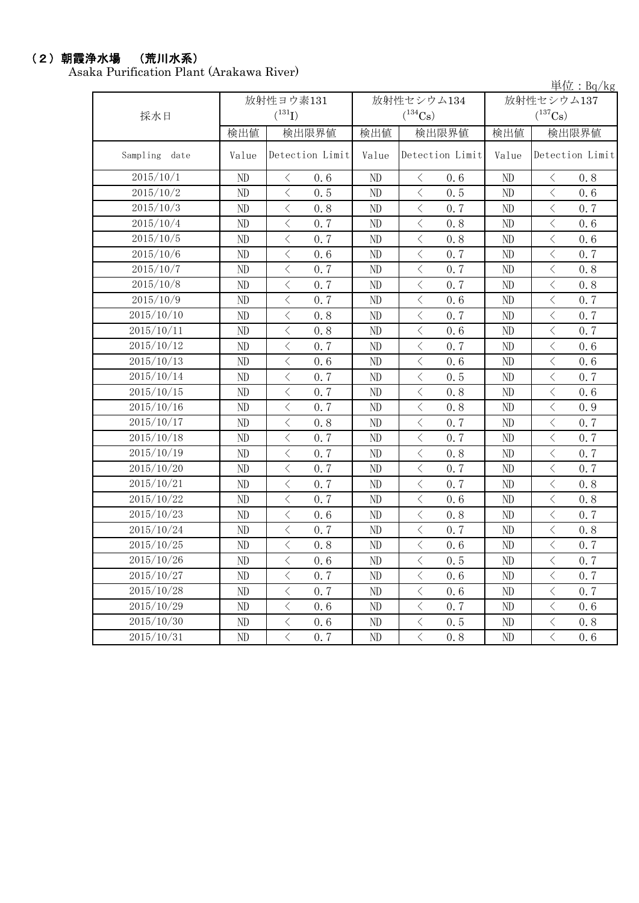# (2)朝霞浄水場 (荒川水系)

Asaka Purification Plant (Arakawa River)

単位:Bq/kg

|               |          | 放射性ヨウ素131                                       |          | 放射性セシウム134                                      | 放射性セシウム137 |                                                 |  |
|---------------|----------|-------------------------------------------------|----------|-------------------------------------------------|------------|-------------------------------------------------|--|
| 採水日           |          | $(^{131}I)$                                     |          | $(^{134}Cs)$                                    |            | $(^{137}\mathrm{Cs})$                           |  |
|               | 検出値      | 検出限界値                                           | 検出値      | 検出限界値                                           | 検出値        | 検出限界値                                           |  |
| Sampling date | Value    | Detection Limit                                 | Value    | Detection Limit                                 | Value      | Detection Limit                                 |  |
| 2015/10/1     | ND       | $\langle$<br>0.6                                | ND       | $\lt$<br>0.6                                    | ND         | $\langle$<br>0.8                                |  |
| 2015/10/2     | ND       | $\langle$<br>0, 5                               | ND       | $\langle$<br>0, 5                               | ND         | $\langle$<br>0, 6                               |  |
| 2015/10/3     | ND       | $\overline{\left\langle \right\rangle }$<br>0.8 | ND       | $\overline{\left\langle \right\rangle }$<br>0.7 | ND         | $\langle$<br>0.7                                |  |
| 2015/10/4     | ND       | $\overline{\left\langle \right\rangle }$<br>0.7 | ND       | $\langle$<br>0.8                                | ND         | $\langle$<br>0.6                                |  |
| 2015/10/5     | $\rm ND$ | $\langle$<br>0.7                                | $\rm ND$ | $\lt$<br>0.8                                    | $\rm ND$   | $\lt$<br>0.6                                    |  |
| 2015/10/6     | ND       | $\langle$<br>0.6                                | ND       | $\overline{\left\langle \right\rangle }$<br>0.7 | ND         | $\langle$<br>0.7                                |  |
| 2015/10/7     | ND       | $\langle$<br>0.7                                | ND       | $\,$ $\,$ $\,$<br>0.7                           | ND         | $\langle$<br>0.8                                |  |
| 2015/10/8     | ND       | $\langle$<br>0.7                                | $\rm ND$ | $\bigg\langle$<br>0.7                           | ND         | $\langle$<br>0.8                                |  |
| 2015/10/9     | ND       | $\langle$<br>0.7                                | ND       | $\, <\,$<br>0.6                                 | $\rm ND$   | $\lt$<br>0.7                                    |  |
| 2015/10/10    | ND       | $\langle$<br>0.8                                | ND       | $\lt$<br>0.7                                    | ND         | $\lt$<br>0.7                                    |  |
| 2015/10/11    | ND       | $\langle$<br>0.8                                | ND       | $\langle$<br>0.6                                | $\rm ND$   | $\langle$<br>0.7                                |  |
| 2015/10/12    | ND       | $\langle$<br>0.7                                | $\rm ND$ | $\langle$<br>0.7                                | $\rm ND$   | $\langle$<br>0.6                                |  |
| 2015/10/13    | ND       | $\langle$<br>0.6                                | ND       | $\langle$<br>0.6                                | $\rm ND$   | $\overline{\left\langle \right\rangle }$<br>0.6 |  |
| 2015/10/14    | ND       | $\langle$<br>0.7                                | ND       | $\overline{\left\langle \right\rangle }$<br>0.5 | $\rm ND$   | $\langle$<br>0.7                                |  |
| 2015/10/15    | ND       | $\langle$<br>0.7                                | ND       | $\overline{\left\langle \right\rangle }$<br>0.8 | $\rm ND$   | $\overline{\left\langle \right\rangle }$<br>0.6 |  |
| 2015/10/16    | ND       | $\overline{\left\langle \right\rangle }$<br>0.7 | $\rm ND$ | $\langle$<br>0.8                                | $\rm ND$   | $\overline{\left\langle \right\rangle }$<br>0.9 |  |
| 2015/10/17    | ND       | $\langle$<br>0.8                                | ND       | $\overline{\left\langle \right\rangle }$<br>0.7 | ND         | $\overline{\left\langle \right\rangle }$<br>0.7 |  |
| 2015/10/18    | ND       | $\langle$<br>0.7                                | ND       | $\langle$<br>0.7                                | ND         | $\langle$<br>0.7                                |  |
| 2015/10/19    | ND       | $\langle$<br>0, 7                               | ND       | $\langle$<br>0.8                                | ND         | $\lt$<br>0.7                                    |  |
| 2015/10/20    | ND       | $\overline{\left\langle \right\rangle }$<br>0.7 | ND       | $\overline{\left\langle \right\rangle }$<br>0.7 | ND         | $\overline{\left\langle \right\rangle }$<br>0.7 |  |
| 2015/10/21    | $\rm ND$ | $\langle$<br>0.7                                | $\rm ND$ | $\,$ $\,$ $\,$<br>0.7                           | $\rm ND$   | $\langle$<br>0.8                                |  |
| 2015/10/22    | ND       | $\langle$<br>0.7                                | ND       | $\langle$<br>0.6                                | ND         | $\lt$<br>0.8                                    |  |
| 2015/10/23    | ND       | $\langle$<br>0.6                                | ND       | $\langle$<br>0.8                                | $\rm ND$   | $\overline{\left\langle \right\rangle }$<br>0.7 |  |
| 2015/10/24    | ND       | $\langle$<br>0.7                                | ND       | $\lt$<br>0.7                                    | ND         | $\langle$<br>0.8                                |  |
| 2015/10/25    | $\rm ND$ | $\langle$<br>0.8                                | ND       | $\langle$<br>0.6                                | $\rm ND$   | $\langle$<br>0.7                                |  |
| 2015/10/26    | ND       | $\langle$<br>0.6                                | ND       | $\langle$<br>0.5                                | ND         | $\lt$<br>0.7                                    |  |
| 2015/10/27    | ND       | $\langle$<br>0.7                                | $\rm ND$ | $\,$ $\,$ $\,$<br>0.6                           | $\rm ND$   | $\lt$<br>0.7                                    |  |
| 2015/10/28    | ND       | $\overline{\left\langle \right\rangle }$<br>0.7 | ND       | $\langle$<br>0.6                                | ND         | $\overline{\left\langle \right\rangle }$<br>0.7 |  |
| 2015/10/29    | $\rm ND$ | $\langle$<br>0.6                                | ND       | $\,$ $\,$ $\,$<br>0.7                           | $\rm ND$   | $\lt$<br>0.6                                    |  |
| 2015/10/30    | ND       | $\langle$<br>0.6                                | ND       | $\lt$<br>0.5                                    | $\rm ND$   | $\lt$<br>0.8                                    |  |
| 2015/10/31    | ND       | $\langle$<br>0.7                                | ND       | $\langle$<br>0.8                                | ND         | $\overline{\left\langle \right\rangle }$<br>0.6 |  |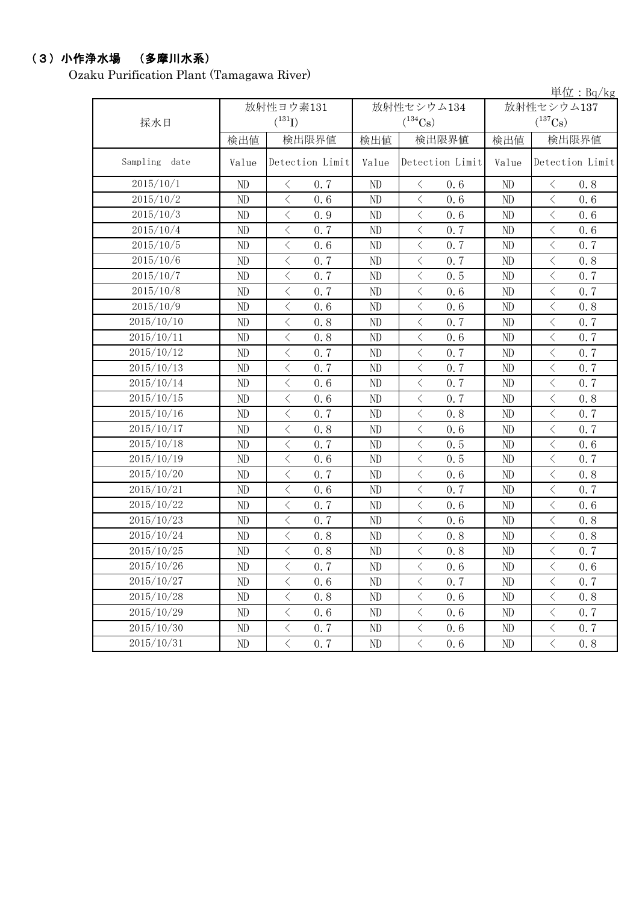# (3)小作浄水場 (多摩川水系)

Ozaku Purification Plant (Tamagawa River)

単位:Bq/kg

| 採水日           |          | 放射性ヨウ素131<br>$(^{131}I)$                        |          | 放射性セシウム134<br>$(^{134}Cs)$  | 放射性セシウム137<br>$(^{137}Cs)$ |                                                 |  |
|---------------|----------|-------------------------------------------------|----------|-----------------------------|----------------------------|-------------------------------------------------|--|
|               | 検出値      | 検出限界値                                           | 検出値      | 検出限界値                       | 検出値                        | 検出限界値                                           |  |
| Sampling date | Value    | Detection Limit                                 | Value    | Detection Limit             | Value                      | Detection Limit                                 |  |
| 2015/10/1     | ND       | 0.7<br>$\langle$                                | ND       | 0.6<br>$\langle$            | ND                         | 0.8<br>$\lt$                                    |  |
| 2015/10/2     | ND       | $\langle$<br>0, 6                               | ND       | $\langle$<br>0.6            | ND                         | $\overline{\left\langle \right\rangle }$<br>0.6 |  |
| 2015/10/3     | $\rm ND$ | $\overline{\left\langle \right\rangle }$<br>0.9 | ND       | $\langle$<br>0.6            | ND                         | $\overline{\left\langle \right\rangle }$<br>0.6 |  |
| 2015/10/4     | ND       | $\lt$<br>0.7                                    | ND       | $\,$ $\,$ $\,$<br>0.7       | ND                         | $\langle$<br>0.6                                |  |
| 2015/10/5     | ND       | $\overline{\left\langle \right\rangle }$<br>0.6 | ND       | $\overline{\langle}$<br>0.7 | ND                         | $\langle$<br>0.7                                |  |
| 2015/10/6     | $\rm ND$ | $\overline{\left\langle \right\rangle }$<br>0.7 | ND       | $\langle$<br>0.7            | ND                         | $\langle$<br>0.8                                |  |
| 2015/10/7     | $\rm ND$ | $\langle$<br>0.7                                | ND       | $\lt$<br>0.5                | ND                         | $\lt$<br>0.7                                    |  |
| 2015/10/8     | ND       | $\lt$<br>0.7                                    | ND       | $\,$ $\,$ $\,$<br>0.6       | ND                         | $\lt$<br>0.7                                    |  |
| 2015/10/9     | ND       | $\langle$<br>0.6                                | ND       | $\lt$<br>0.6                | ND                         | $\lt$<br>0.8                                    |  |
| 2015/10/10    | $\rm ND$ | $\lt$<br>0.8                                    | ND       | $\,$ $\,$ $\,$<br>0.7       | ND                         | $\lt$<br>0.7                                    |  |
| 2015/10/11    | ND       | $\langle$<br>0.8                                | ND       | $\langle$<br>0.6            | ND                         | 0, 7<br>$\lt$                                   |  |
| 2015/10/12    | ND       | $\langle$<br>0.7                                | ND       | $\, \leq$<br>0.7            | ND                         | $\lt$<br>0.7                                    |  |
| 2015/10/13    | ND       | $\langle$<br>0.7                                | ND       | $\,$ $\,$ $\,$<br>0.7       | ND                         | $\lt$<br>0.7                                    |  |
| 2015/10/14    | $\rm ND$ | $\langle$<br>0.6                                | ND       | $\,<\,$<br>0.7              | ND                         | $\lt$<br>0.7                                    |  |
| 2015/10/15    | $\rm ND$ | $\langle$<br>0.6                                | ND       | $\,<\,$<br>0.7              | ND                         | $\lt$<br>0.8                                    |  |
| 2015/10/16    | ND       | $\langle$<br>0.7                                | ND       | $\,$ $\,$ $\,$<br>0.8       | ND                         | $\lt$<br>0.7                                    |  |
| 2015/10/17    | ND       | $\langle$<br>0.8                                | ND       | $\langle$<br>0.6            | $\rm ND$                   | $\overline{\left\langle \right\rangle }$<br>0.7 |  |
| 2015/10/18    | ND       | $\lt$<br>0.7                                    | ND       | $\langle$<br>0.5            | $\rm ND$                   | $\overline{\left\langle \right\rangle }$<br>0.6 |  |
| 2015/10/19    | ND       | $\langle$<br>0.6                                | ND       | $\langle$<br>0.5            | ND                         | $\overline{\left\langle \right\rangle }$<br>0.7 |  |
| 2015/10/20    | ND       | $\langle$<br>0, 7                               | ND       | $\,$ $\,$ $\,$<br>0.6       | ND                         | $\overline{\left\langle \right\rangle }$<br>0.8 |  |
| 2015/10/21    | ND       | $\lt$<br>0, 6                                   | ND       | $\langle$<br>0.7            | ND                         | $\lt$<br>0.7                                    |  |
| 2015/10/22    | ND       | $\langle$<br>0, 7                               | ND       | $\langle$<br>0.6            | ND                         | $\langle$<br>0.6                                |  |
| 2015/10/23    | $\rm ND$ | $\overline{\left\langle \right\rangle }$<br>0.7 | ND       | $\langle$<br>0.6            | ND                         | $\overline{\left\langle \right\rangle }$<br>0.8 |  |
| 2015/10/24    | ND       | $\langle$<br>0.8                                | ND       | $\langle$<br>0.8            | ND                         | $\langle$<br>0.8                                |  |
| 2015/10/25    | ND       | $\langle$<br>0.8                                | ND       | $\langle$<br>0.8            | ND                         | $\lt$<br>0.7                                    |  |
| 2015/10/26    | ND       | $\lt$<br>0.7                                    | ND       | $\,$ $\,$ $\,$<br>0.6       | ND                         | $\lt$<br>0.6                                    |  |
| 2015/10/27    | $\rm ND$ | $\lt$<br>0.6                                    | ND       | $\,$ $\,$ $\,$<br>0.7       | ND                         | $\lt$<br>0.7                                    |  |
| 2015/10/28    | $\rm ND$ | $\lt$<br>0.8                                    | ND       | $\,$ $\,$ $\,$<br>0.6       | ND                         | $\lt$<br>0.8                                    |  |
| 2015/10/29    | $\rm ND$ | $\lt$<br>0.6                                    | $\rm ND$ | $\lt$<br>0.6                | ND                         | $\langle$<br>0.7                                |  |
| 2015/10/30    | $\rm ND$ | $\overline{\left\langle \right\rangle }$<br>0.7 | ND       | $\lt$<br>0.6                | $\rm ND$                   | $\langle$<br>0.7                                |  |
| 2015/10/31    | ND       | $\langle$<br>0.7                                | ND       | $\,$ $\,$ $\,$<br>0.6       | ND                         | $\lt$<br>0.8                                    |  |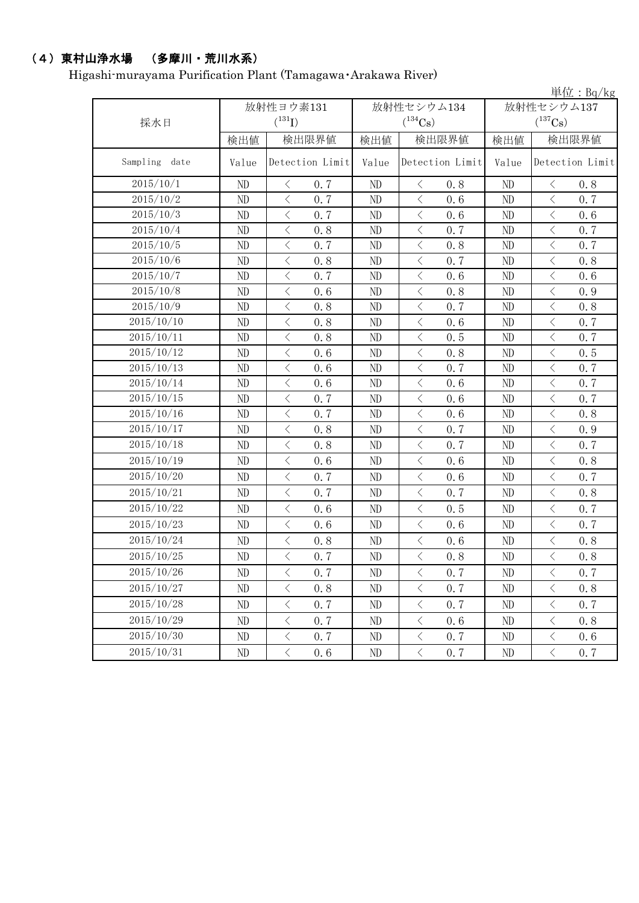# (4)東村山浄水場 (多摩川・荒川水系)

Higashi-murayama Purification Plant (Tamagawa・Arakawa River)

|                  |           |                                          |       |            |                                          |       |              |                                          | 単位: $Bq/kg$ |
|------------------|-----------|------------------------------------------|-------|------------|------------------------------------------|-------|--------------|------------------------------------------|-------------|
|                  | 放射性ヨウ素131 |                                          |       | 放射性セシウム134 |                                          |       | 放射性セシウム137   |                                          |             |
| 採水日              |           | $({}^{131}\mathrm{I})$                   |       |            | $(^{134}Cs)$                             |       | $(^{137}Cs)$ |                                          |             |
|                  | 検出値       |                                          | 検出限界値 | 検出値        |                                          | 検出限界値 |              |                                          | 検出限界値       |
| Sampling<br>date | Value     | Detection Limit                          |       | Value      | Detection Limit                          |       | Value        | Detection Limit                          |             |
| 2015/10/1        | ND        | $\langle$                                | 0.7   | ND         | $\langle$                                | 0.8   | ND           | $\langle$                                | 0.8         |
| 2015/10/2        | ND        | $\langle$                                | 0.7   | ND         | $\langle$                                | 0.6   | ND           | $\lt$                                    | 0.7         |
| 2015/10/3        | ND        | $\overline{\left\langle \right\rangle }$ | 0.7   | ND         | $\langle$                                | 0.6   | $\rm ND$     | $\langle$                                | 0.6         |
| 2015/10/4        | ND        | $\overline{\left\langle \right\rangle }$ | 0.8   | ND         | $\langle$                                | 0.7   | $\rm ND$     | $\langle$                                | 0.7         |
| 2015/10/5        | ND        | $\langle$                                | 0.7   | ND         | $\lt$                                    | 0.8   | ND           | $\lt$                                    | 0.7         |
| 2015/10/6        | ND        | $\langle$                                | 0.8   | ND         | $\,$ $\,$ $\,$                           | 0.7   | ND           | $\langle$                                | 0.8         |
| 2015/10/7        | ND        | $\hspace{0.1cm}\big\langle$              | 0.7   | ND         | $\,$ $\,$ $\,$                           | 0.6   | ND           | $\langle$                                | 0.6         |
| 2015/10/8        | ND        | $\langle$                                | 0.6   | ND         | $\, <\,$                                 | 0.8   | ND           | $\langle$                                | 0.9         |
| 2015/10/9        | ND        | $\langle$                                | 0.8   | ND         | $\overline{\left\langle \right\rangle }$ | 0.7   | ND           | $\langle$                                | 0.8         |
| 2015/10/10       | ND        | $\langle$                                | 0.8   | ND         | $\, <\,$                                 | 0.6   | ND           | $\langle$                                | 0.7         |
| 2015/10/11       | ND        | $\langle$                                | 0.8   | ND         | $\, < \,$                                | 0.5   | ND           | $\lt$                                    | 0.7         |
| 2015/10/12       | ND        | $\,$ $\,$ $\,$                           | 0.6   | ND         | $\, <\,$                                 | 0.8   | ND           | $\langle$                                | 0.5         |
| 2015/10/13       | ND        | $\langle$                                | 0.6   | ND         | $\lt$                                    | 0.7   | ND           | $\langle$                                | 0.7         |
| 2015/10/14       | ND        | $\overline{\left\langle \right\rangle }$ | 0.6   | ND         | $\,$ $\,$ $\,$                           | 0.6   | ND           | $\overline{\left\langle \right\rangle }$ | 0.7         |
| 2015/10/15       | ND        | $\,$ $\,$ $\,$                           | 0.7   | ND         | $\, < \,$                                | 0.6   | ND           | $\langle$                                | 0.7         |
| 2015/10/16       | ND        | $\langle$                                | 0.7   | ND         | $\lt$                                    | 0.6   | ND           | $\langle$                                | 0.8         |
| 2015/10/17       | ND        | $\langle$                                | 0.8   | ND         | $\, <\,$                                 | 0.7   | ND           | $\langle$                                | 0.9         |
| 2015/10/18       | ND        | $\langle$                                | 0.8   | ND         | $\bigl\langle$                           | 0.7   | ND           | $\langle$                                | 0.7         |
| 2015/10/19       | ND        | $\,$ $\,$ $\,$                           | 0.6   | ND         | $\overline{\left\langle \right\rangle }$ | 0.6   | ND           | $\overline{\left\langle \right\rangle }$ | 0.8         |
| 2015/10/20       | ND        | $\langle$                                | 0.7   | ND         | $\lt$                                    | 0.6   | ND           | $\lt$                                    | 0.7         |
| 2015/10/21       | ND        | $\langle$                                | 0.7   | ND         | $\langle$                                | 0.7   | ND           | $\langle$                                | 0.8         |
| 2015/10/22       | ND        | $\langle$                                | 0.6   | ND         | $\, \leq$                                | 0.5   | ND           | $\lt$                                    | 0.7         |
| 2015/10/23       | ND        | $\langle$                                | 0.6   | ND         | $\langle$                                | 0.6   | ND           | $\langle$                                | 0.7         |
| 2015/10/24       | ND        | $\big\langle$                            | 0.8   | ND         | $\, \leq$                                | 0.6   | ND           | $\langle$                                | 0.8         |
| 2015/10/25       | $\rm ND$  | $\langle$                                | 0.7   | ND         | $\,$ $\,$ $\,$                           | 0.8   | $\rm ND$     | $\langle$                                | 0.8         |
| 2015/10/26       | ND        | $\langle$                                | 0.7   | ND         | $\lt$                                    | 0.7   | ND           | $\langle$                                | 0.7         |
| 2015/10/27       | ND        | $\langle$                                | 0.8   | ND         | $\, < \,$                                | 0.7   | $\rm ND$     | $\langle$                                | 0.8         |
| 2015/10/28       | ND        | $\langle$                                | 0.7   | ND         | $\, <\,$                                 | 0.7   | ND           | $\lt$                                    | 0.7         |
| 2015/10/29       | $\rm ND$  | $\langle$                                | 0.7   | ND         | $\, <\,$                                 | 0.6   | $\rm ND$     | $\langle$                                | 0.8         |
| 2015/10/30       | ND        | $\langle$                                | 0.7   | ND         | $\, <\,$                                 | 0.7   | ND           | $\langle$                                | 0.6         |
| 2015/10/31       | ND        | $\langle$                                | 0.6   | $\rm ND$   | $\bigl\langle$                           | 0.7   | $\rm ND$     | $\langle$                                | 0.7         |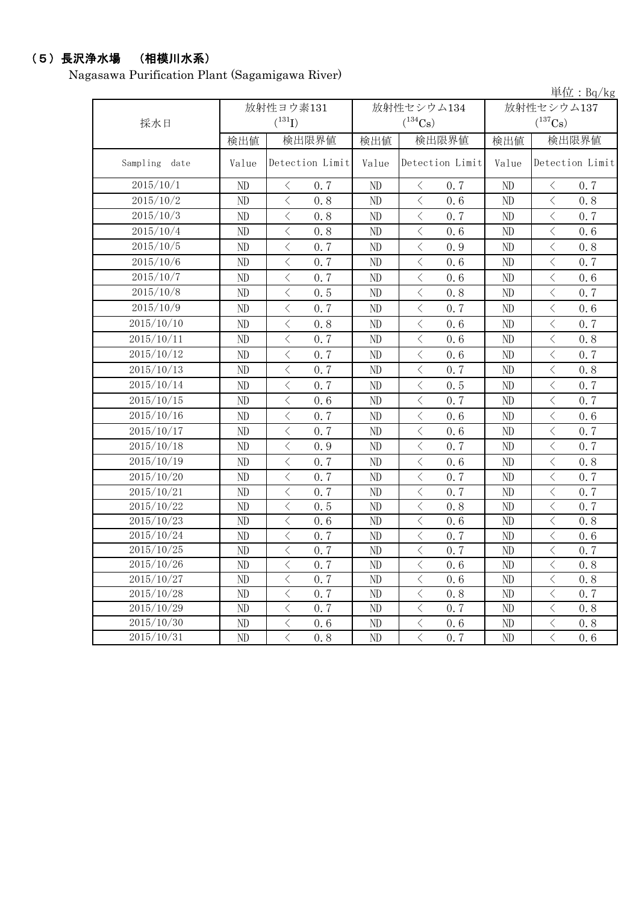#### (5)長沢浄水場 (相模川水系)

Nagasawa Purification Plant (Sagamigawa River)

単位:Bq/kg 検出値 | 検出限量 | 検出限界値 | 検出値 | 検出限界値 Sampling date | Value Detection Limit | Value Detection Limit | Value Detection Limit ND  $\vert$   $\langle$  0.7  $\vert$  ND  $\vert$   $\langle$  0.7  $\vert$  ND  $\vert$   $\langle$  0.7 ND < 0.8 ND < 0.6 ND < 0.8 ND  $\vert$   $\langle$  0.8  $\vert$  ND  $\vert$   $\langle$  0.7  $\vert$  ND  $\vert$   $\langle$  0.7 ND < 0.8 ND < 0.6 ND < 0.6 ND < 0.7 ND < 0.9 ND < 0.8 ND  $\vert$   $\langle$  0.7  $\vert$  ND  $\vert$   $\langle$  0.6  $\vert$  ND  $\vert$   $\langle$  0.7 ND < 0.7 ND < 0.6 ND < 0.6 ND  $\vert$   $\langle$  0.5  $\vert$  ND  $\vert$   $\langle$  0.8  $\vert$  ND  $\vert$   $\langle$  0.7 ND  $\vert$   $\langle$  0.7  $\vert$  ND  $\vert$   $\langle$  0.7  $\vert$  ND  $\vert$   $\langle$  0.6 ND < 0.8 ND < 0.6 ND < 0.7 ND < 0.7 ND < 0.6 ND < 0.8 ND  $\vert$   $\langle$  0.7  $\vert$  ND  $\vert$   $\langle$  0.6  $\vert$  ND  $\vert$   $\langle$  0.7 ND  $\vert$   $\langle$  0.7  $\vert$  ND  $\vert$   $\langle$  0.7  $\vert$  ND  $\vert$   $\langle$  0.8 ND  $\vert$   $\langle$  0.7  $\vert$  ND  $\vert$   $\langle$  0.5  $\vert$  ND  $\vert$   $\langle$  0.7 ND  $\vert$   $\langle$  0.6  $\vert$  ND  $\vert$   $\langle$  0.7  $\vert$  ND  $\vert$   $\langle$  0.7 ND  $\vert$   $\langle$  0.7  $\vert$  ND  $\vert$   $\langle$  0.6  $\vert$  ND  $\vert$   $\langle$  0.6 ND  $\vert$   $\langle$  0.7  $\vert$  ND  $\vert$   $\langle$  0.6  $\vert$  ND  $\vert$   $\langle$  0.7 ND  $\vert$  < 0.9 | ND  $\vert$  < 0.7 | ND  $\vert$  < 0.7 ND < 0.7 ND < 0.6 ND < 0.8 ND  $\vert$   $\langle$  0.7  $\vert$  ND  $\vert$   $\langle$  0.7  $\vert$  ND  $\vert$   $\langle$  0.7 ND  $\vert$   $\langle$  0.7  $\vert$  ND  $\vert$   $\langle$  0.7  $\vert$  ND  $\vert$   $\langle$  0.7 ND  $\vert$   $\langle$  0.5  $\vert$  ND  $\vert$   $\langle$  0.8  $\vert$  ND  $\vert$   $\langle$  0.7 ND < 0.6 ND < 0.6 ND < 0.8 ND  $\vert$   $\langle$  0.7  $\vert$  ND  $\vert$   $\langle$  0.7  $\vert$  ND  $\vert$   $\langle$  0.6 ND  $\vert$   $\langle$  0.7  $\vert$  ND  $\vert$   $\langle$  0.7  $\vert$  ND  $\vert$   $\langle$  0.7 ND < 0.7 ND < 0.6 ND < 0.8 ND < 0.7 ND < 0.6 ND < 0.8 ND  $\vert$  < 0.7 | ND  $\vert$  < 0.8 | ND  $\vert$  < 0.7 ND  $\vert$   $\langle$  0.7  $\vert$  ND  $\vert$   $\langle$  0.7  $\vert$  ND  $\vert$   $\langle$  0.8 ND < 0.6 ND < 0.6 ND < 0.8 ND < 0.8 ND < 0.7 ND < 0.6 2015/10/12 2015/10/13 2015/10/14 2015/10/15 2015/10/24 2015/10/11 2015/10/9 2015/10/8 2015/10/4 2015/10/10 2015/10/5 2015/10/6 2015/10/7 2015/10/26 2015/10/27 2015/10/28 2015/10/29 2015/10/30 2015/10/25 2015/10/23 2015/10/22 2015/10/21 2015/10/18 2015/10/16 2015/10/31 2015/10/19 採水日 放射性ヨウ素131  $(^{131}\text{I})$ 放射性セシウム134  $(^{134}Cs)$ 放射性セシウム137  $(^{137}Cs)$ 2015/10/17 2015/10/2 2015/10/1 2015/10/20 2015/10/3